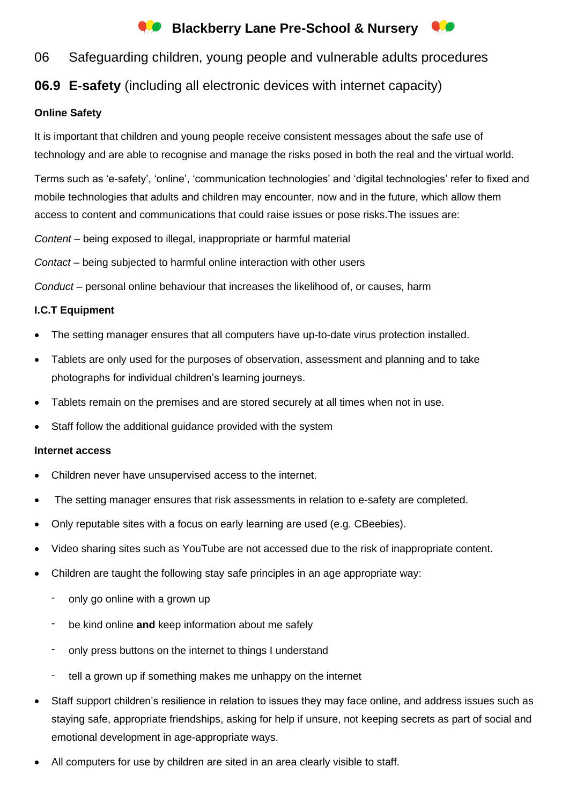# **Conducts** Blackberry Lane Pre-School & Nursery

# 06 Safeguarding children, young people and vulnerable adults procedures

# **06.9 E-safety** (including all electronic devices with internet capacity)

## **Online Safety**

It is important that children and young people receive consistent messages about the safe use of technology and are able to recognise and manage the risks posed in both the real and the virtual world.

Terms such as 'e-safety', 'online', 'communication technologies' and 'digital technologies' refer to fixed and mobile technologies that adults and children may encounter, now and in the future, which allow them access to content and communications that could raise issues or pose risks.The issues are:

*Content* – being exposed to illegal, inappropriate or harmful material

*Contact* – being subjected to harmful online interaction with other users

*Conduct* – personal online behaviour that increases the likelihood of, or causes, harm

## **I.C.T Equipment**

- The setting manager ensures that all computers have up-to-date virus protection installed.
- Tablets are only used for the purposes of observation, assessment and planning and to take photographs for individual children's learning journeys.
- Tablets remain on the premises and are stored securely at all times when not in use.
- Staff follow the additional quidance provided with the system

### **Internet access**

- Children never have unsupervised access to the internet.
- The setting manager ensures that risk assessments in relation to e-safety are completed.
- Only reputable sites with a focus on early learning are used (e.g. CBeebies).
- Video sharing sites such as YouTube are not accessed due to the risk of inappropriate content.
- Children are taught the following stay safe principles in an age appropriate way:
	- only go online with a grown up
	- be kind online **and** keep information about me safely
	- only press buttons on the internet to things I understand
	- tell a grown up if something makes me unhappy on the internet
- Staff support children's resilience in relation to issues they may face online, and address issues such as staying safe, appropriate friendships, asking for help if unsure, not keeping secrets as part of social and emotional development in age-appropriate ways.
- All computers for use by children are sited in an area clearly visible to staff.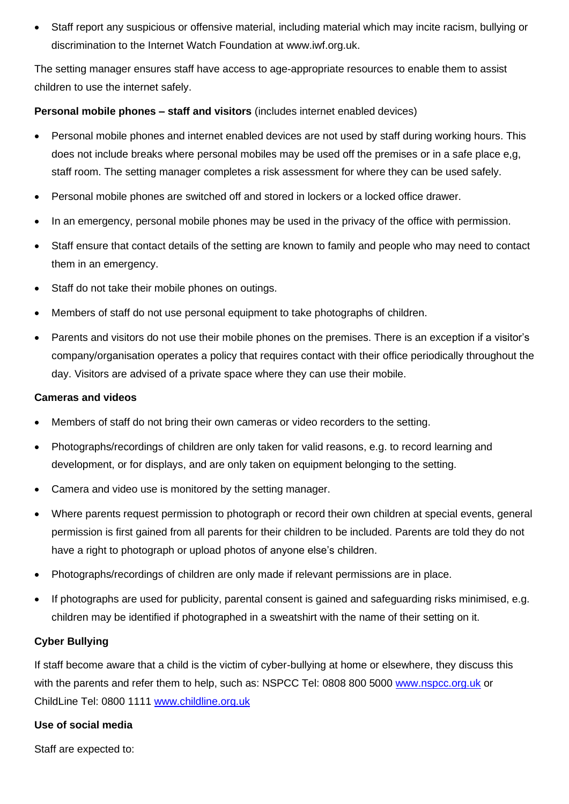• Staff report any suspicious or offensive material, including material which may incite racism, bullying or discrimination to the Internet Watch Foundation at [www.iwf.org.uk.](http://www.iwf.org.uk/)

The setting manager ensures staff have access to age-appropriate resources to enable them to assist children to use the internet safely.

### **Personal mobile phones – staff and visitors** (includes internet enabled devices)

- Personal mobile phones and internet enabled devices are not used by staff during working hours. This does not include breaks where personal mobiles may be used off the premises or in a safe place e,g, staff room. The setting manager completes a risk assessment for where they can be used safely.
- Personal mobile phones are switched off and stored in lockers or a locked office drawer.
- In an emergency, personal mobile phones may be used in the privacy of the office with permission.
- Staff ensure that contact details of the setting are known to family and people who may need to contact them in an emergency.
- Staff do not take their mobile phones on outings.
- Members of staff do not use personal equipment to take photographs of children.
- Parents and visitors do not use their mobile phones on the premises. There is an exception if a visitor's company/organisation operates a policy that requires contact with their office periodically throughout the day. Visitors are advised of a private space where they can use their mobile.

#### **Cameras and videos**

- Members of staff do not bring their own cameras or video recorders to the setting.
- Photographs/recordings of children are only taken for valid reasons, e.g. to record learning and development, or for displays, and are only taken on equipment belonging to the setting.
- Camera and video use is monitored by the setting manager.
- Where parents request permission to photograph or record their own children at special events, general permission is first gained from all parents for their children to be included. Parents are told they do not have a right to photograph or upload photos of anyone else's children.
- Photographs/recordings of children are only made if relevant permissions are in place.
- If photographs are used for publicity, parental consent is gained and safeguarding risks minimised, e.g. children may be identified if photographed in a sweatshirt with the name of their setting on it.

### **Cyber Bullying**

If staff become aware that a child is the victim of cyber-bullying at home or elsewhere, they discuss this with the parents and refer them to help, such as: NSPCC Tel: 0808 800 5000 [www.nspcc.org.uk](http://www.nspcc.org.uk/) or ChildLine Tel: 0800 1111 [www.childline.org.uk](http://www.childline.org.uk/)

#### **Use of social media**

Staff are expected to: